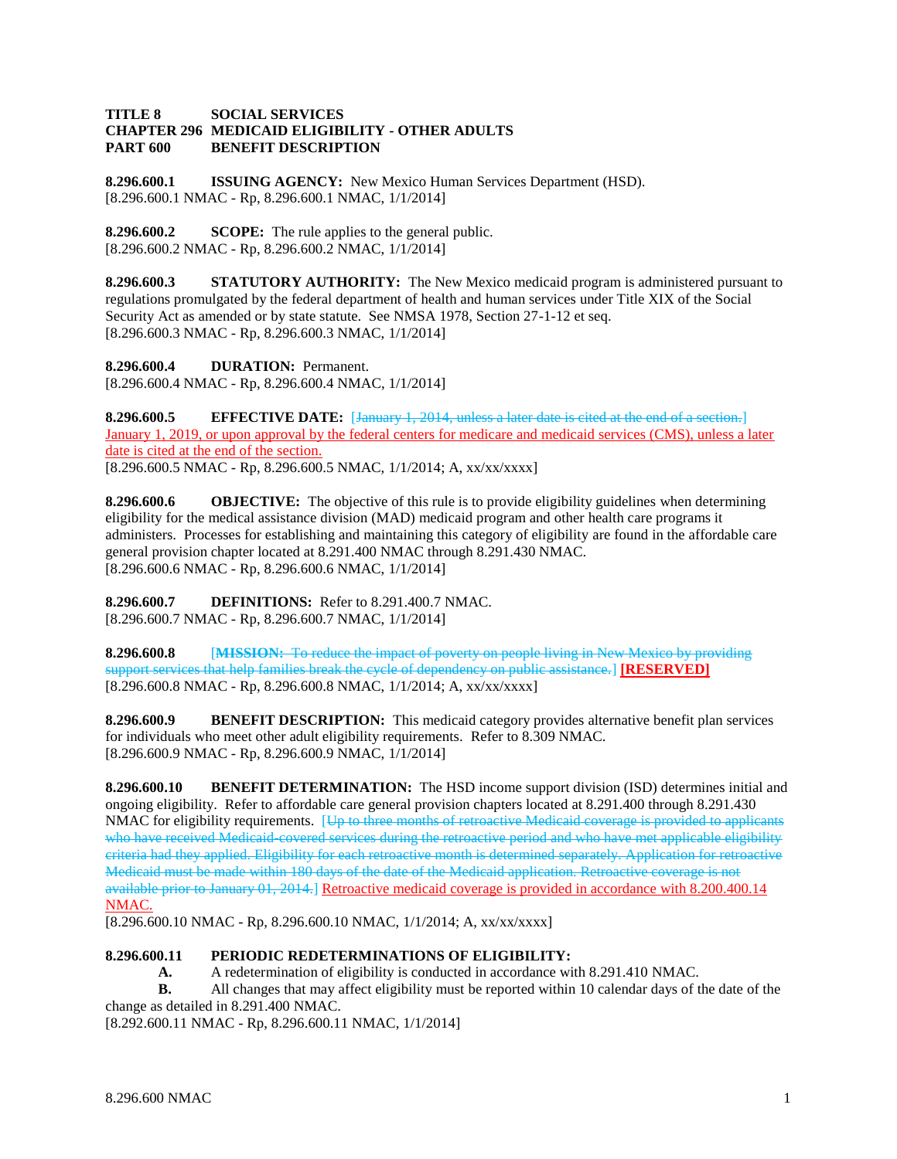## **TITLE 8 SOCIAL SERVICES CHAPTER 296 MEDICAID ELIGIBILITY - OTHER ADULTS PART 600 BENEFIT DESCRIPTION**

**8.296.600.1 ISSUING AGENCY:** New Mexico Human Services Department (HSD). [8.296.600.1 NMAC - Rp, 8.296.600.1 NMAC, 1/1/2014]

**8.296.600.2 SCOPE:** The rule applies to the general public. [8.296.600.2 NMAC - Rp, 8.296.600.2 NMAC, 1/1/2014]

**8.296.600.3 STATUTORY AUTHORITY:** The New Mexico medicaid program is administered pursuant to regulations promulgated by the federal department of health and human services under Title XIX of the Social Security Act as amended or by state statute. See NMSA 1978, Section 27-1-12 et seq. [8.296.600.3 NMAC - Rp, 8.296.600.3 NMAC, 1/1/2014]

**8.296.600.4 DURATION:** Permanent. [8.296.600.4 NMAC - Rp, 8.296.600.4 NMAC, 1/1/2014]

**8.296.600.5 EFFECTIVE DATE:** [January 1, 2014, unless a later date is cited at the end of a section.] January 1, 2019, or upon approval by the federal centers for medicare and medicaid services (CMS), unless a later date is cited at the end of the section. [8.296.600.5 NMAC - Rp, 8.296.600.5 NMAC, 1/1/2014; A, xx/xx/xxxx]

**8.296.600.6 OBJECTIVE:** The objective of this rule is to provide eligibility guidelines when determining eligibility for the medical assistance division (MAD) medicaid program and other health care programs it administers. Processes for establishing and maintaining this category of eligibility are found in the affordable care general provision chapter located at 8.291.400 NMAC through 8.291.430 NMAC. [8.296.600.6 NMAC - Rp, 8.296.600.6 NMAC, 1/1/2014]

**8.296.600.7 DEFINITIONS:** Refer to 8.291.400.7 NMAC. [8.296.600.7 NMAC - Rp, 8.296.600.7 NMAC, 1/1/2014]

**8.296.600.8** [**MISSION:** To reduce the impact of poverty on people living in New Mexico by providing support services that help families break the cycle of dependency on public assistance.] **[RESERVED]** [8.296.600.8 NMAC - Rp, 8.296.600.8 NMAC, 1/1/2014; A, xx/xx/xxxx]

**8.296.600.9 BENEFIT DESCRIPTION:** This medicaid category provides alternative benefit plan services for individuals who meet other adult eligibility requirements. Refer to 8.309 NMAC. [8.296.600.9 NMAC - Rp, 8.296.600.9 NMAC, 1/1/2014]

**8.296.600.10 BENEFIT DETERMINATION:** The HSD income support division (ISD) determines initial and ongoing eligibility. Refer to affordable care general provision chapters located at 8.291.400 through 8.291.430 NMAC for eligibility requirements. [Up to three months of retroactive Medicaid coverage is provided to applica who have received Medicaid-covered services during the retroactive period and who have met applicable eligibility criteria had they applied. Eligibility for each retroactive month is determined separately. Application for retroactive Medicaid must be made within 180 days of the date of the Medicaid application. Retroactive coverage is not available prior to January 01, 2014.] Retroactive medicaid coverage is provided in accordance with 8.200.400.14 NMAC.

[8.296.600.10 NMAC - Rp, 8.296.600.10 NMAC, 1/1/2014; A, xx/xx/xxxx]

## **8.296.600.11 PERIODIC REDETERMINATIONS OF ELIGIBILITY:**

**A.** A redetermination of eligibility is conducted in accordance with 8.291.410 NMAC.

**B.** All changes that may affect eligibility must be reported within 10 calendar days of the date of the change as detailed in 8.291.400 NMAC.

[8.292.600.11 NMAC - Rp, 8.296.600.11 NMAC, 1/1/2014]